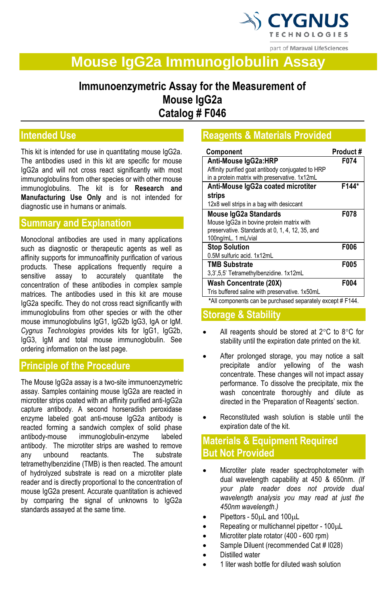

# **Mouse IgG2a Immunoglobulin Assay**

## **Immunoenzymetric Assay for the Measurement of Mouse IgG2a Catalog # F046**

## **Intended Use**

This kit is intended for use in quantitating mouse IgG2a. The antibodies used in this kit are specific for mouse IgG2a and will not cross react significantly with most immunoglobulins from other species or with other mouse immunoglobulins. The kit is for **Research and Manufacturing Use Only** and is not intended for diagnostic use in humans or animals.

#### **Summary and Explanation**

Monoclonal antibodies are used in many applications such as diagnostic or therapeutic agents as well as affinity supports for immunoaffinity purification of various products. These applications frequently require a sensitive assay to accurately quantitate the concentration of these antibodies in complex sample matrices*.* The antibodies used in this kit are mouse IgG2a specific. They do not cross react significantly with immunoglobulins from other species or with the other mouse immunoglobulins IgG1, IgG2b IgG3, IgA or IgM. *Cygnus Technologies* provides kits for IgG1, IgG2b, IgG3, IgM and total mouse immunoglobulin. See ordering information on the last page.

#### **Principle of the Procedure**

The Mouse IgG2a assay is a two-site immunoenzymetric assay. Samples containing mouse IgG2a are reacted in microtiter strips coated with an affinity purified anti-IgG2a capture antibody. A second horseradish peroxidase enzyme labeled goat anti-mouse IgG2a antibody is reacted forming a sandwich complex of solid phase antibody-mouse immunoglobulin-enzyme labeled antibody. The microtiter strips are washed to remove any unbound reactants. The substrate tetramethylbenzidine (TMB) is then reacted. The amount of hydrolyzed substrate is read on a microtiter plate reader and is directly proportional to the concentration of mouse IgG2a present. Accurate quantitation is achieved by comparing the signal of unknowns to IgG2a standards assayed at the same time.

## **Reagents & Materials Provided**

| Component                                                  | Product# |
|------------------------------------------------------------|----------|
| Anti-Mouse IgG2a:HRP                                       | F074     |
| Affinity purified goat antibody conjugated to HRP          |          |
| in a protein matrix with preservative. 1x12mL              |          |
| Anti-Mouse IgG2a coated microtiter                         | F144*    |
| strips                                                     |          |
| 12x8 well strips in a bag with desiccant                   |          |
| Mouse IgG2a Standards                                      | F078     |
| Mouse IqG2a in bovine protein matrix with                  |          |
| preservative. Standards at 0, 1, 4, 12, 35, and            |          |
| 100ng/mL. 1 mL/vial                                        |          |
| <b>Stop Solution</b>                                       | F006     |
| 0.5M sulfuric acid. 1x12mL                                 |          |
| <b>TMB Substrate</b>                                       | F005     |
| 3,3',5,5' Tetramethylbenzidine. 1x12mL                     |          |
| Wash Concentrate (20X)                                     | F004     |
| Tris buffered saline with preservative. 1x50mL             |          |
| *All components can be purchased separately except # F144. |          |

### **Storage & Stability**

- All reagents should be stored at  $2^{\circ}$ C to  $8^{\circ}$ C for stability until the expiration date printed on the kit.
- After prolonged storage, you may notice a salt precipitate and/or yellowing of the wash concentrate. These changes will not impact assay performance. To dissolve the precipitate, mix the wash concentrate thoroughly and dilute as directed in the 'Preparation of Reagents' section.
- Reconstituted wash solution is stable until the expiration date of the kit.

## **Materials & Equipment Required But Not Provided**

- Microtiter plate reader spectrophotometer with dual wavelength capability at 450 & 650nm. *(If your plate reader does not provide dual wavelength analysis you may read at just the 450nm wavelength.)*
- Pipettors 50µL and 100µL
- Repeating or multichannel pipettor 100µL
- Microtiter plate rotator (400 600 rpm)
- Sample Diluent (recommended Cat # 1028)
- Distilled water
- 1 liter wash bottle for diluted wash solution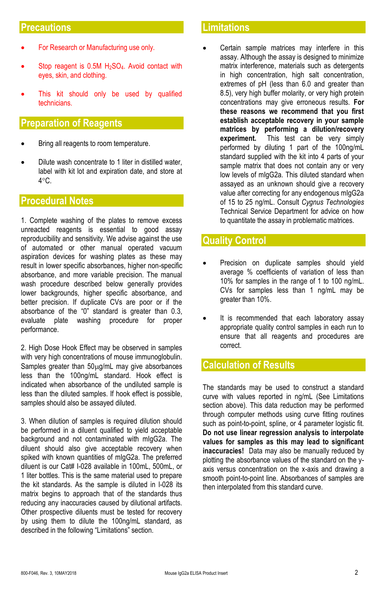#### **Precautions**

- For Research or Manufacturing use only.
- Stop reagent is 0.5M H<sub>2</sub>SO<sub>4</sub>. Avoid contact with eyes, skin, and clothing.
- This kit should only be used by qualified technicians.

#### **Preparation of Reagents**

- Bring all reagents to room temperature.
- Dilute wash concentrate to 1 liter in distilled water, label with kit lot and expiration date, and store at 4C.

#### **Procedural Notes**

1. Complete washing of the plates to remove excess unreacted reagents is essential to good assay reproducibility and sensitivity. We advise against the use of automated or other manual operated vacuum aspiration devices for washing plates as these may result in lower specific absorbances, higher non-specific absorbance, and more variable precision. The manual wash procedure described below generally provides lower backgrounds, higher specific absorbance, and better precision. If duplicate CVs are poor or if the absorbance of the "0" standard is greater than 0.3, evaluate plate washing procedure for proper performance.

2. High Dose Hook Effect may be observed in samples with very high concentrations of mouse immunoglobulin. Samples greater than  $50\mu$ g/mL may give absorbances less than the 100ng/mL standard. Hook effect is indicated when absorbance of the undiluted sample is less than the diluted samples. If hook effect is possible, samples should also be assayed diluted.

3. When dilution of samples is required dilution should be performed in a diluent qualified to yield acceptable background and not contaminated with mIgG2a. The diluent should also give acceptable recovery when spiked with known quantities of mIgG2a. The preferred diluent is our Cat# I-028 available in 100mL, 500mL, or 1 liter bottles. This is the same material used to prepare the kit standards. As the sample is diluted in I-028 its matrix begins to approach that of the standards thus reducing any inaccuracies caused by dilutional artifacts. Other prospective diluents must be tested for recovery by using them to dilute the 100ng/mL standard, as described in the following "Limitations" section.

### **Limitations**

Certain sample matrices may interfere in this assay. Although the assay is designed to minimize matrix interference, materials such as detergents in high concentration, high salt concentration, extremes of pH (less than 6.0 and greater than 8.5), very high buffer molarity, or very high protein concentrations may give erroneous results. **For these reasons we recommend that you first establish acceptable recovery in your sample matrices by performing a dilution/recovery experiment.** This test can be very simply performed by diluting 1 part of the 100ng/mL standard supplied with the kit into 4 parts of your sample matrix that does not contain any or very low levels of mIgG2a. This diluted standard when assayed as an unknown should give a recovery value after correcting for any endogenous mIgG2a of 15 to 25 ng/mL. Consult *Cygnus Technologies* Technical Service Department for advice on how to quantitate the assay in problematic matrices.

### **Quality Control**

- Precision on duplicate samples should yield average % coefficients of variation of less than 10% for samples in the range of 1 to 100 ng/mL. CVs for samples less than 1 ng/mL may be greater than 10%.
- It is recommended that each laboratory assay appropriate quality control samples in each run to ensure that all reagents and procedures are correct.

### **Calculation of Results**

The standards may be used to construct a standard curve with values reported in ng/mL (See Limitations section above). This data reduction may be performed through computer methods using curve fitting routines such as point-to-point, spline, or 4 parameter logistic fit. **Do not use linear regression analysis to interpolate values for samples as this may lead to significant inaccuracies!** Data may also be manually reduced by plotting the absorbance values of the standard on the yaxis versus concentration on the x-axis and drawing a smooth point-to-point line. Absorbances of samples are then interpolated from this standard curve.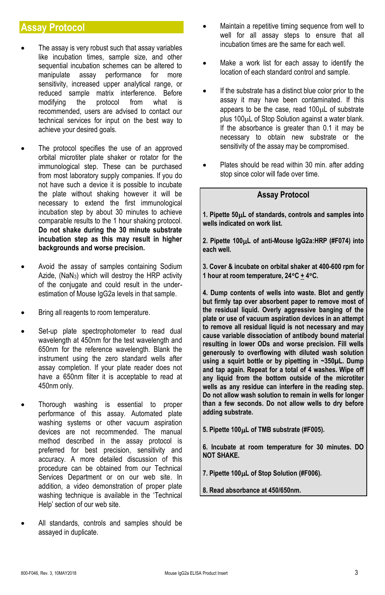## **Assay Protocol**

- The assay is very robust such that assay variables like incubation times, sample size, and other sequential incubation schemes can be altered to manipulate assay performance for more sensitivity, increased upper analytical range, or reduced sample matrix interference. Before modifying the protocol from what is recommended, users are advised to contact our technical services for input on the best way to achieve your desired goals.
- The protocol specifies the use of an approved orbital microtiter plate shaker or rotator for the immunological step. These can be purchased from most laboratory supply companies. If you do not have such a device it is possible to incubate the plate without shaking however it will be necessary to extend the first immunological incubation step by about 30 minutes to achieve comparable results to the 1 hour shaking protocol. **Do not shake during the 30 minute substrate incubation step as this may result in higher backgrounds and worse precision.**
- Avoid the assay of samples containing Sodium Azide, (NaN<sub>3</sub>) which will destroy the HRP activity of the conjugate and could result in the underestimation of Mouse IgG2a levels in that sample.
- Bring all reagents to room temperature.
- Set-up plate spectrophotometer to read dual wavelength at 450nm for the test wavelength and 650nm for the reference wavelength. Blank the instrument using the zero standard wells after assay completion. If your plate reader does not have a 650nm filter it is acceptable to read at 450nm only.
- Thorough washing is essential to proper performance of this assay. Automated plate washing systems or other vacuum aspiration devices are not recommended. The manual method described in the assay protocol is preferred for best precision, sensitivity and accuracy. A more detailed discussion of this procedure can be obtained from our Technical Services Department or on our web site. In addition, a video demonstration of proper plate washing technique is available in the 'Technical Help' section of our web site.
- All standards, controls and samples should be assayed in duplicate.
- Maintain a repetitive timing sequence from well to well for all assay steps to ensure that all incubation times are the same for each well.
- Make a work list for each assay to identify the location of each standard control and sample.
- If the substrate has a distinct blue color prior to the assay it may have been contaminated. If this appears to be the case, read  $100\mu L$  of substrate plus 100  $\mu$ L of Stop Solution against a water blank. If the absorbance is greater than 0.1 it may be necessary to obtain new substrate or the sensitivity of the assay may be compromised.
- Plates should be read within 30 min. after adding stop since color will fade over time.

#### **Assay Protocol**

**1. Pipette 50L of standards, controls and samples into wells indicated on work list.**

**2. Pipette 100L of anti-Mouse IgG2a:HRP (#F074) into each well.**

**3. Cover & incubate on orbital shaker at 400-600 rpm for 1 hour at room temperature, 24C + 4C.**

**4. Dump contents of wells into waste. Blot and gently but firmly tap over absorbent paper to remove most of the residual liquid. Overly aggressive banging of the plate or use of vacuum aspiration devices in an attempt to remove all residual liquid is not necessary and may cause variable dissociation of antibody bound material resulting in lower ODs and worse precision. Fill wells generously to overflowing with diluted wash solution using a squirt bottle or by pipetting in ~350µL. Dump and tap again. Repeat for a total of 4 washes. Wipe off any liquid from the bottom outside of the microtiter wells as any residue can interfere in the reading step. Do not allow wash solution to remain in wells for longer than a few seconds. Do not allow wells to dry before adding substrate.**

**5. Pipette 100L of TMB substrate (#F005).** 

**6. Incubate at room temperature for 30 minutes. DO NOT SHAKE.**

**7. Pipette 100L of Stop Solution (#F006).**

**8. Read absorbance at 450/650nm.**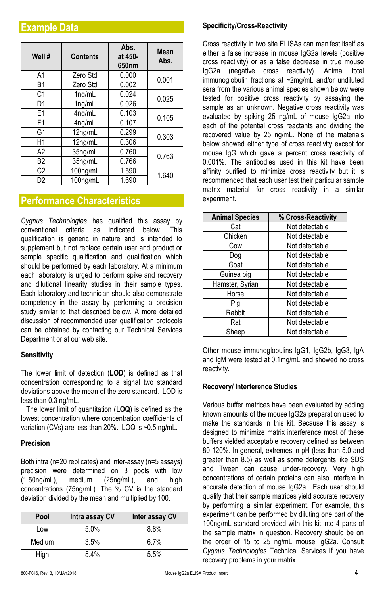#### **Example Data**

| Well#          | <b>Contents</b> | Abs.<br>at 450-<br>650 <sub>nm</sub> | Mean<br>Abs. |
|----------------|-----------------|--------------------------------------|--------------|
| A1             | Zero Std        | 0.000                                | 0.001        |
| B <sub>1</sub> | Zero Std        | 0.002                                |              |
| C <sub>1</sub> | $1$ ng/mL       | 0.024                                | 0.025        |
| D <sub>1</sub> | 1ng/mL          | 0.026                                |              |
| E <sub>1</sub> | 4ng/mL          | 0.103                                | 0.105        |
| F <sub>1</sub> | 4ng/mL          | 0.107                                |              |
| G <sub>1</sub> | 12ng/mL         | 0.299                                | 0.303        |
| H1             | 12ng/mL         | 0.306                                |              |
| A <sub>2</sub> | 35ng/mL         | 0.760                                | 0.763        |
| B <sub>2</sub> | 35ng/mL         | 0.766                                |              |
| C <sub>2</sub> | 100ng/mL        | 1.590                                | 1.640        |
| D2             | 100ng/mL        | 1.690                                |              |

## **Performance Characteristics**

*Cygnus Technologies* has qualified this assay by conventional criteria as indicated below. This qualification is generic in nature and is intended to supplement but not replace certain user and product or sample specific qualification and qualification which should be performed by each laboratory. At a minimum each laboratory is urged to perform spike and recovery and dilutional linearity studies in their sample types. Each laboratory and technician should also demonstrate competency in the assay by performing a precision study similar to that described below. A more detailed discussion of recommended user qualification protocols can be obtained by contacting our Technical Services Department or at our web site.

#### **Sensitivity**

The lower limit of detection (**LOD**) is defined as that concentration corresponding to a signal two standard deviations above the mean of the zero standard. LOD is less than 0.3 ng/mL.

 The lower limit of quantitation (**LOQ**) is defined as the lowest concentration where concentration coefficients of variation (CVs) are less than 20%. LOQ is ~0.5 ng/mL.

#### **Precision**

Both intra (n=20 replicates) and inter-assay (n=5 assays) precision were determined on 3 pools with low (1.50ng/mL), medium (25ng/mL), and high concentrations (75ng/mL). The % CV is the standard deviation divided by the mean and multiplied by 100.

| Pool   | Intra assay CV | Inter assay CV |
|--------|----------------|----------------|
| Low    | 5.0%           | 8.8%           |
| Medium | 3.5%           | 6.7%           |
| High   | 5.4%           | 5.5%           |

Cross reactivity in two site ELISAs can manifest itself as either a false increase in mouse IgG2a levels (positive cross reactivity) or as a false decrease in true mouse IgG2a (negative cross reactivity). Animal total immunoglobulin fractions at ~2mg/mL and/or undiluted sera from the various animal species shown below were tested for positive cross reactivity by assaying the sample as an unknown. Negative cross reactivity was evaluated by spiking 25 ng/mL of mouse IgG2a into each of the potential cross reactants and dividing the recovered value by 25 ng/mL. None of the materials below showed either type of cross reactivity except for mouse IgG which gave a percent cross reactivity of 0.001%. The antibodies used in this kit have been affinity purified to minimize cross reactivity but it is recommended that each user test their particular sample matrix material for cross reactivity in a similar experiment.

| <b>Animal Species</b> | % Cross-Reactivity |
|-----------------------|--------------------|
| Cat                   | Not detectable     |
| Chicken               | Not detectable     |
| Cow                   | Not detectable     |
| Dog                   | Not detectable     |
| Goat                  | Not detectable     |
| Guinea pig            | Not detectable     |
| Hamster, Syrian       | Not detectable     |
| Horse                 | Not detectable     |
| Pig                   | Not detectable     |
| Rabbit                | Not detectable     |
| Rat                   | Not detectable     |
| Sheep                 | Not detectable     |

Other mouse immunoglobulins IgG1, IgG2b, IgG3, IgA and IgM were tested at 0.1mg/mL and showed no cross reactivity.

#### **Recovery/ Interference Studies**

Various buffer matrices have been evaluated by adding known amounts of the mouse IgG2a preparation used to make the standards in this kit. Because this assay is designed to minimize matrix interference most of these buffers yielded acceptable recovery defined as between 80-120%. In general, extremes in pH (less than 5.0 and greater than 8.5) as well as some detergents like SDS and Tween can cause under-recovery. Very high concentrations of certain proteins can also interfere in accurate detection of mouse IgG2a. Each user should qualify that their sample matrices yield accurate recovery by performing a similar experiment. For example, this experiment can be performed by diluting one part of the 100ng/mL standard provided with this kit into 4 parts of the sample matrix in question. Recovery should be on the order of 15 to 25 ng/mL mouse IgG2a. Consult *Cygnus Technologies* Technical Services if you have recovery problems in your matrix.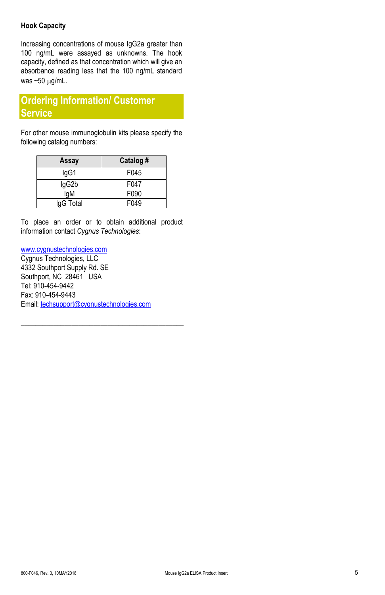#### **Hook Capacity**

Increasing concentrations of mouse IgG2a greater than 100 ng/mL were assayed as unknowns. The hook capacity, defined as that concentration which will give an absorbance reading less that the 100 ng/mL standard was  $-50 \mu q/mL$ .

### **Ordering Information/ Customer Service**

For other mouse immunoglobulin kits please specify the following catalog numbers:

| Assay     | Catalog #        |
|-----------|------------------|
| lgG1      | F045             |
| lgG2b     | F047             |
| lqM       | F090             |
| IgG Total | F <sub>049</sub> |

To place an order or to obtain additional product information contact *Cygnus Technologies*:

[www.cygnustechnologies.com](http://www.cygnustechnologies.com/) Cygnus Technologies, LLC 4332 Southport Supply Rd. SE Southport, NC 28461 USA Tel: 910-454-9442 Fax: 910-454-9443

Email[: techsupport@cygnustechnologies.com](mailto:techsupport@cygnustechnologies.com)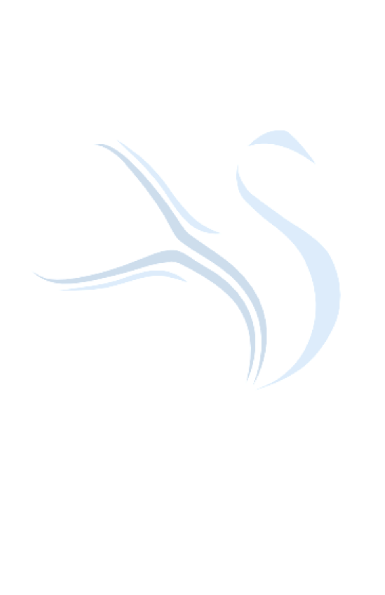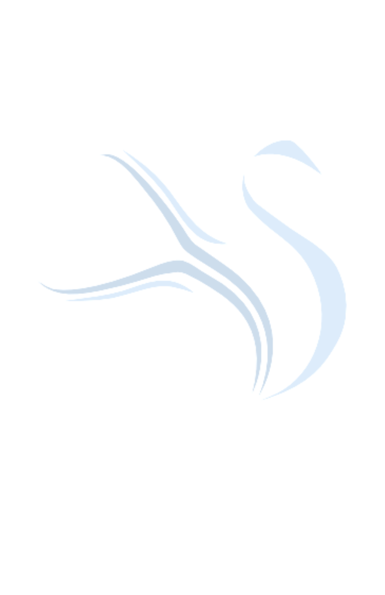